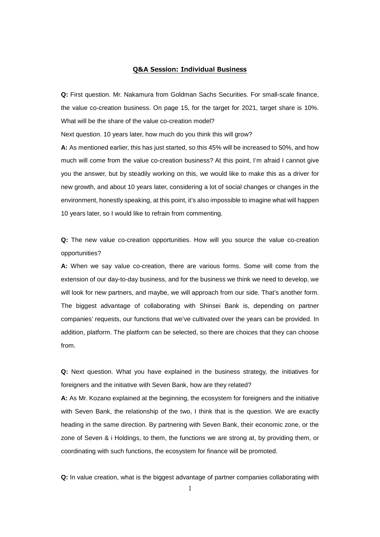## **Q&A Session: Individual Business**

**Q:** First question. Mr. Nakamura from Goldman Sachs Securities. For small-scale finance, the value co-creation business. On page 15, for the target for 2021, target share is 10%. What will be the share of the value co-creation model?

Next question. 10 years later, how much do you think this will grow?

**A:** As mentioned earlier, this has just started, so this 45% will be increased to 50%, and how much will come from the value co-creation business? At this point, I'm afraid I cannot give you the answer, but by steadily working on this, we would like to make this as a driver for new growth, and about 10 years later, considering a lot of social changes or changes in the environment, honestly speaking, at this point, it's also impossible to imagine what will happen 10 years later, so I would like to refrain from commenting.

**Q:** The new value co-creation opportunities. How will you source the value co-creation opportunities?

**A:** When we say value co-creation, there are various forms. Some will come from the extension of our day-to-day business, and for the business we think we need to develop, we will look for new partners, and maybe, we will approach from our side. That's another form. The biggest advantage of collaborating with Shinsei Bank is, depending on partner companies' requests, our functions that we've cultivated over the years can be provided. In addition, platform. The platform can be selected, so there are choices that they can choose from.

**Q:** Next question. What you have explained in the business strategy, the initiatives for foreigners and the initiative with Seven Bank, how are they related?

**A:** As Mr. Kozano explained at the beginning, the ecosystem for foreigners and the initiative with Seven Bank, the relationship of the two, I think that is the question. We are exactly heading in the same direction. By partnering with Seven Bank, their economic zone, or the zone of Seven & i Holdings, to them, the functions we are strong at, by providing them, or coordinating with such functions, the ecosystem for finance will be promoted.

**Q:** In value creation, what is the biggest advantage of partner companies collaborating with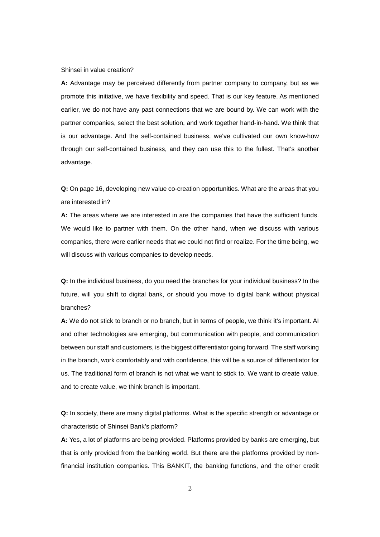## Shinsei in value creation?

**A:** Advantage may be perceived differently from partner company to company, but as we promote this initiative, we have flexibility and speed. That is our key feature. As mentioned earlier, we do not have any past connections that we are bound by. We can work with the partner companies, select the best solution, and work together hand-in-hand. We think that is our advantage. And the self-contained business, we've cultivated our own know-how through our self-contained business, and they can use this to the fullest. That's another advantage.

**Q:** On page 16, developing new value co-creation opportunities. What are the areas that you are interested in?

**A:** The areas where we are interested in are the companies that have the sufficient funds. We would like to partner with them. On the other hand, when we discuss with various companies, there were earlier needs that we could not find or realize. For the time being, we will discuss with various companies to develop needs.

**Q:** In the individual business, do you need the branches for your individual business? In the future, will you shift to digital bank, or should you move to digital bank without physical branches?

**A:** We do not stick to branch or no branch, but in terms of people, we think it's important. AI and other technologies are emerging, but communication with people, and communication between our staff and customers, is the biggest differentiator going forward. The staff working in the branch, work comfortably and with confidence, this will be a source of differentiator for us. The traditional form of branch is not what we want to stick to. We want to create value, and to create value, we think branch is important.

**Q:** In society, there are many digital platforms. What is the specific strength or advantage or characteristic of Shinsei Bank's platform?

**A:** Yes, a lot of platforms are being provided. Platforms provided by banks are emerging, but that is only provided from the banking world. But there are the platforms provided by nonfinancial institution companies. This BANKIT, the banking functions, and the other credit